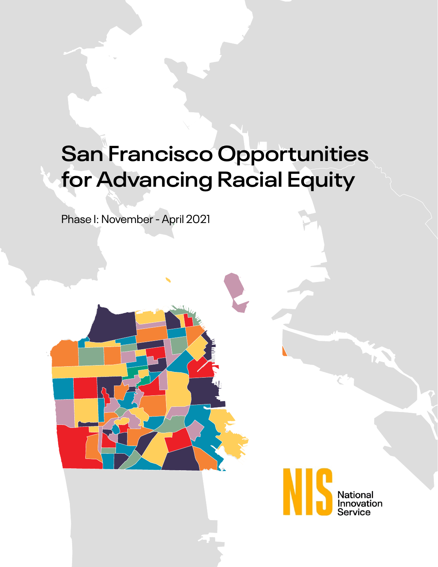# **San Francisco Opportunities for Advancing Racial Equity**

Phase I: November - April 2021

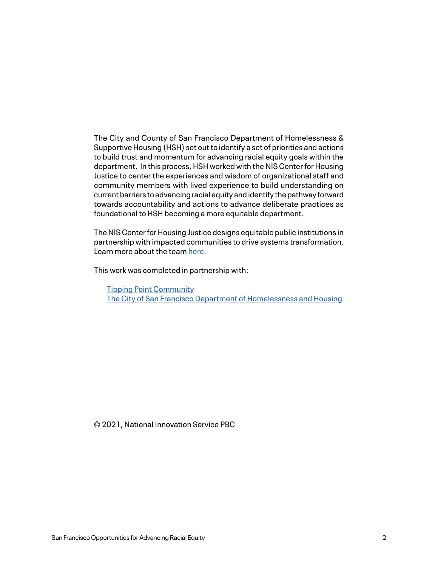The City and County of San Francisco Department of Homelessness & Supportive Housing (HSH) set out to identify a set of priorities and actions to build trust and momentum for advancing racial equity goals within the department. In this process, HSH worked with the NIS Center for Housing Justice to center the experiences and wisdom of organizational staff and community members with lived experience to build understanding on current barriers to advancing racial equity and identify the pathway forward towards accountability and actions to advance deliberate practices as foundational to HSH becoming a more equitable department.

The NIS Center for Housing Justice designs equitable public institutions in partnership with impacted communities to drive systems transformation. Learn more about the team [here](http://www.nis.us/meet-the-team).

This work was completed in partnership with:

[Tipping Point Community](https://tippingpoint.org/) [The City of San Francisco Department of Homelessness and Housing](https://hsh.sfgov.org/)

© 2021, National Innovation Service PBC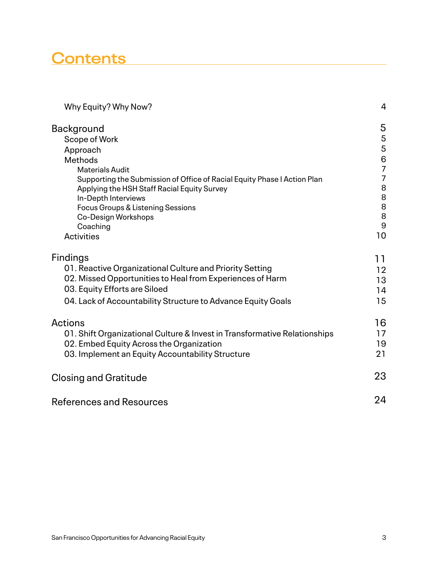## **Contents**

| Why Equity? Why Now?                                                      | 4                                     |
|---------------------------------------------------------------------------|---------------------------------------|
| <b>Background</b>                                                         | 5                                     |
| Scope of Work                                                             | $\overline{5}$                        |
| Approach                                                                  | 5                                     |
| Methods                                                                   | $\begin{array}{c} 6 \\ 7 \end{array}$ |
| <b>Materials Audit</b>                                                    |                                       |
| Supporting the Submission of Office of Racial Equity Phase I Action Plan  | $\overline{7}$                        |
| Applying the HSH Staff Racial Equity Survey                               | 8<br>8<br>8                           |
| In-Depth Interviews                                                       |                                       |
| <b>Focus Groups &amp; Listening Sessions</b><br>Co-Design Workshops       | 8                                     |
| Coaching                                                                  | 9                                     |
| <b>Activities</b>                                                         | 10                                    |
| <b>Findings</b>                                                           | 11                                    |
| 01. Reactive Organizational Culture and Priority Setting                  | 12                                    |
| 02. Missed Opportunities to Heal from Experiences of Harm                 | 13                                    |
| 03. Equity Efforts are Siloed                                             | 14                                    |
| 04. Lack of Accountability Structure to Advance Equity Goals              | 15                                    |
| <b>Actions</b>                                                            | 16                                    |
| 01. Shift Organizational Culture & Invest in Transformative Relationships | 17                                    |
| 02. Embed Equity Across the Organization                                  | 19                                    |
| 03. Implement an Equity Accountability Structure                          | 21                                    |
| <b>Closing and Gratitude</b>                                              | 23                                    |
| <b>References and Resources</b>                                           | 24                                    |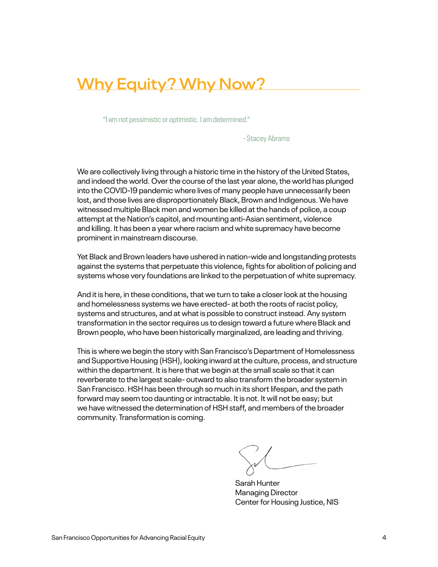## **Why Equity? Why Now?**

"I am not pessimistic or optimistic. I am determined."

- Stacey Abrams

We are collectively living through a historic time in the history of the United States, and indeed the world. Over the course of the last year alone, the world has plunged into the COVID-19 pandemic where lives of many people have unnecessarily been lost, and those lives are disproportionately Black, Brown and Indigenous. We have witnessed multiple Black men and women be killed at the hands of police, a coup attempt at the Nation's capitol, and mounting anti-Asian sentiment, violence and killing. It has been a year where racism and white supremacy have become prominent in mainstream discourse.

Yet Black and Brown leaders have ushered in nation-wide and longstanding protests against the systems that perpetuate this violence, fights for abolition of policing and systems whose very foundations are linked to the perpetuation of white supremacy.

And it is here, in these conditions, that we turn to take a closer look at the housing and homelessness systems we have erected- at both the roots of racist policy, systems and structures, and at what is possible to construct instead. Any system transformation in the sector requires us to design toward a future where Black and Brown people, who have been historically marginalized, are leading and thriving.

This is where we begin the story with San Francisco's Department of Homelessness and Supportive Housing (HSH), looking inward at the culture, process, and structure within the department. It is here that we begin at the small scale so that it can reverberate to the largest scale- outward to also transform the broader system in San Francisco. HSH has been through so much in its short lifespan, and the path forward may seem too daunting or intractable. It is not. It will not be easy; but we have witnessed the determination of HSH staff, and members of the broader community. Transformation is coming.

Sarah Hunter Managing Director Center for Housing Justice, NIS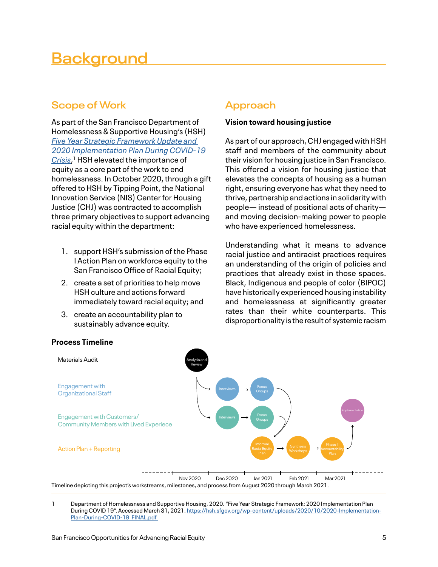## **Background**

## **Scope of Work**

As part of the San Francisco Department of Homelessness & Supportive Housing's (HSH) *[Five Year Strategic Framework Update and](https://hsh.sfgov.org/wp-content/uploads/2020/10/2020-Implementation-Plan-During-COVID-19_FINAL.pdf)  [2020 Implementation Plan During COVID-19](https://hsh.sfgov.org/wp-content/uploads/2020/10/2020-Implementation-Plan-During-COVID-19_FINAL.pdf)  [Crisis](https://hsh.sfgov.org/wp-content/uploads/2020/10/2020-Implementation-Plan-During-COVID-19_FINAL.pdf)*, 1 HSH elevated the importance of equity as a core part of the work to end homelessness. In October 2020, through a gift offered to HSH by Tipping Point, the National Innovation Service (NIS) Center for Housing Justice (CHJ) was contracted to accomplish three primary objectives to support advancing racial equity within the department:

- 1. support HSH's submission of the Phase I Action Plan on workforce equity to the San Francisco Office of Racial Equity;
- 2. create a set of priorities to help move HSH culture and actions forward immediately toward racial equity; and
- 3. create an accountability plan to sustainably advance equity.

## **Approach**

### **Vision toward housing justice**

As part of our approach, CHJ engaged with HSH staff and members of the community about their vision for housing justice in San Francisco. This offered a vision for housing justice that elevates the concepts of housing as a human right, ensuring everyone has what they need to thrive, partnership and actions in solidarity with people— instead of positional acts of charity and moving decision-making power to people who have experienced homelessness.

Understanding what it means to advance racial justice and antiracist practices requires an understanding of the origin of policies and practices that already exist in those spaces. Black, Indigenous and people of color (BIPOC) have historically experienced housing instability and homelessness at significantly greater rates than their white counterparts. This disproportionality is the result of systemic racism



### **Process Timeline**

1 [Department of Homelessness and Supportive Housing, 2020. "Five Year Strategic Framework: 2020 Implementation Plan](https://hsh.sfgov.org/wp-content/uploads/2020/10/2020-Implementation-Plan-During-COVID-19_FINAL.pdf )  [During COVID 19". Accessed March 31, 2021. https://hsh.sfgov.org/wp-content/uploads/2020/10/2020-Implementation-](https://hsh.sfgov.org/wp-content/uploads/2020/10/2020-Implementation-Plan-During-COVID-19_FINAL.pdf )Plan-During-COVID-19\_FINAL.pdf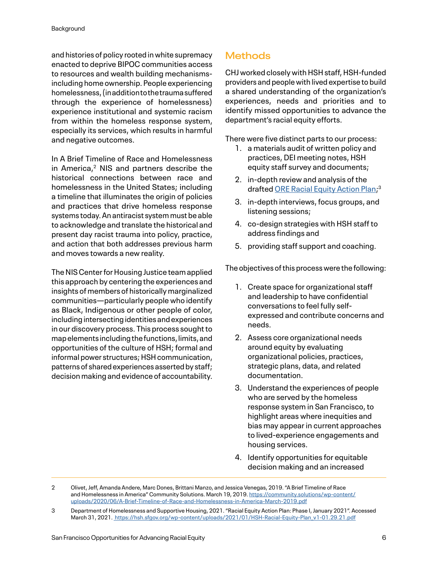and histories of policy rooted in white supremacy enacted to deprive BIPOC communities access to resources and wealth building mechanismsincluding home ownership. People experiencing homelessness, (in addition to the trauma suffered through the experience of homelessness) experience institutional and systemic racism from within the homeless response system, especially its services, which results in harmful and negative outcomes.

In A Brief Timeline of Race and Homelessness in America, $2$  NIS and partners describe the historical connections between race and homelessness in the United States; including a timeline that illuminates the origin of policies and practices that drive homeless response systems today. An antiracist system must be able to acknowledge and translate the historical and present day racist trauma into policy, practice, and action that both addresses previous harm and moves towards a new reality.

The NIS Center for Housing Justice team applied this approach by centering the experiences and insights of members of historically marginalized communities—particularly people who identify as Black, Indigenous or other people of color, including intersecting identities and experiences in our discovery process. This process sought to map elements including the functions, limits, and opportunities of the culture of HSH; formal and informal power structures; HSH communication, patterns of shared experiences asserted by staff; decision making and evidence of accountability.

## **Methods**

CHJ worked closely with HSH staff, HSH-funded providers and people with lived expertise to build a shared understanding of the organization's experiences, needs and priorities and to identify missed opportunities to advance the department's racial equity efforts.

There were five distinct parts to our process:

- 1. a materials audit of written policy and practices, DEI meeting notes, HSH equity staff survey and documents;
- 2. in-depth review and analysis of the drafted [ORE Racial Equity Action Plan;](https://hsh.sfgov.org/wp-content/uploads/2021/01/HSH-Racial-Equity-Plan_v1-01.29.21.pdf)<sup>3</sup>
- 3. in-depth interviews, focus groups, and listening sessions;
- 4. co-design strategies with HSH staff to address findings and
- 5. providing staff support and coaching.

The objectives of this process were the following:

- 1. Create space for organizational staff and leadership to have confidential conversations to feel fully selfexpressed and contribute concerns and needs.
- 2. Assess core organizational needs around equity by evaluating organizational policies, practices, strategic plans, data, and related documentation.
- 3. Understand the experiences of people who are served by the homeless response system in San Francisco, to highlight areas where inequities and bias may appear in current approaches to lived-experience engagements and housing services.
- 4. Identify opportunities for equitable decision making and an increased

<sup>2</sup> Olivet, Jeff, Amanda Andere, Marc Dones, Brittani Manzo, and Jessica Venegas, 2019. "A Brief Timeline of Race and Homelessness in America" Community Solutions. March 19, 2019. [https://community.solutions/wp-content/](https://community.solutions/wp-content/uploads/2020/06/A-Brief-Timeline-of-Race-and-Homelessness-in-America-March-2019.pdf) [uploads/2020/06/A-Brief-Timeline-of-Race-and-Homelessness-in-America-March-2019.pdf](https://community.solutions/wp-content/uploads/2020/06/A-Brief-Timeline-of-Race-and-Homelessness-in-America-March-2019.pdf)

<sup>3</sup> Department of Homelessness and Supportive Housing, 2021. "Racial Equity Action Plan: Phase I, January 2021". Accessed March 31, 2021. [https://hsh.sfgov.org/wp-content/uploads/2021/01/HSH-Racial-Equity-Plan\\_v1-01.29.21.pdf](https://hsh.sfgov.org/wp-content/uploads/2021/01/HSH-Racial-Equity-Plan_v1-01.29.21.pdf)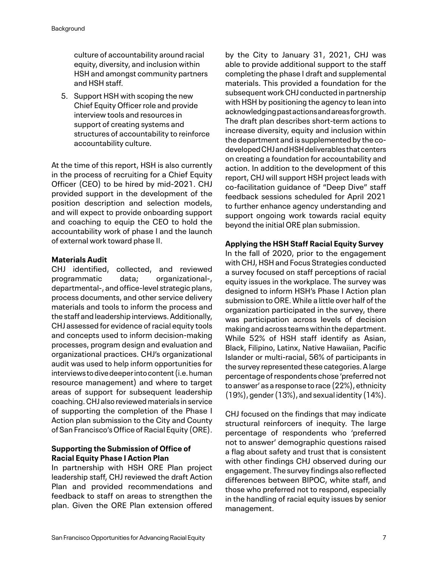culture of accountability around racial equity, diversity, and inclusion within HSH and amongst community partners and HSH staff.

5. Support HSH with scoping the new Chief Equity Officer role and provide interview tools and resources in support of creating systems and structures of accountability to reinforce accountability culture.

At the time of this report, HSH is also currently in the process of recruiting for a Chief Equity Officer (CEO) to be hired by mid-2021. CHJ provided support in the development of the position description and selection models, and will expect to provide onboarding support and coaching to equip the CEO to hold the accountability work of phase I and the launch of external work toward phase II.

### **Materials Audit**

CHJ identified, collected, and reviewed programmatic data; organizational-, departmental-, and office-level strategic plans, process documents, and other service delivery materials and tools to inform the process and the staff and leadership interviews. Additionally, CHJ assessed for evidence of racial equity tools and concepts used to inform decision-making processes, program design and evaluation and organizational practices. CHJ's organizational audit was used to help inform opportunities for interviews to dive deeper into content (i.e. human resource management) and where to target areas of support for subsequent leadership coaching. CHJ also reviewed materials in service of supporting the completion of the Phase I Action plan submission to the City and County of San Francisco's Office of Racial Equity (ORE).

### **Supporting the Submission of Office of Racial Equity Phase I Action Plan**

In partnership with HSH ORE Plan project leadership staff, CHJ reviewed the draft Action Plan and provided recommendations and feedback to staff on areas to strengthen the plan. Given the ORE Plan extension offered by the City to January 31, 2021, CHJ was able to provide additional support to the staff completing the phase I draft and supplemental materials. This provided a foundation for the subsequent work CHJ conducted in partnership with HSH by positioning the agency to lean into acknowledging past actions and areas for growth. The draft plan describes short-term actions to increase diversity, equity and inclusion within the department and is supplemented by the codeveloped CHJ and HSH deliverables that centers on creating a foundation for accountability and action. In addition to the development of this report, CHJ will support HSH project leads with co-facilitation guidance of "Deep Dive" staff feedback sessions scheduled for April 2021 to further enhance agency understanding and support ongoing work towards racial equity beyond the initial ORE plan submission.

### **Applying the HSH Staff Racial Equity Survey**

In the fall of 2020, prior to the engagement with CHJ, HSH and Focus Strategies conducted a survey focused on staff perceptions of racial equity issues in the workplace. The survey was designed to inform HSH's Phase I Action plan submission to ORE. While a little over half of the organization participated in the survey, there was participation across levels of decision making and across teams within the department. While 52% of HSH staff identify as Asian, Black, Filipino, Latinx, Native Hawaiian, Pacific Islander or multi-racial, 56% of participants in the survey represented these categories. A large percentage of respondents chose 'preferred not to answer' as a response to race (22%), ethnicity (19%), gender (13%), and sexual identity (14%).

CHJ focused on the findings that may indicate structural reinforcers of inequity. The large percentage of respondents who 'preferred not to answer' demographic questions raised a flag about safety and trust that is consistent with other findings CHJ observed during our engagement. The survey findings also reflected differences between BIPOC, white staff, and those who preferred not to respond, especially in the handling of racial equity issues by senior management.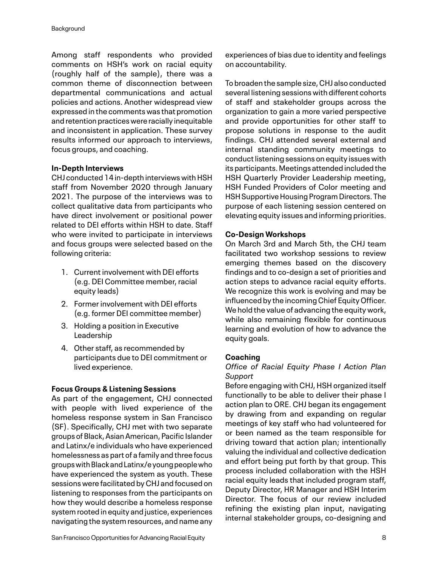Among staff respondents who provided comments on HSH's work on racial equity (roughly half of the sample), there was a common theme of disconnection between departmental communications and actual policies and actions. Another widespread view expressed in the comments was that promotion and retention practices were racially inequitable and inconsistent in application. These survey results informed our approach to interviews, focus groups, and coaching.

#### **In-Depth Interviews**

CHJ conducted 14 in-depth interviews with HSH staff from November 2020 through January 2021. The purpose of the interviews was to collect qualitative data from participants who have direct involvement or positional power related to DEI efforts within HSH to date. Staff who were invited to participate in interviews and focus groups were selected based on the following criteria:

- 1. Current involvement with DEI efforts (e.g. DEI Committee member, racial equity leads)
- 2. Former involvement with DEI efforts (e.g. former DEI committee member)
- 3. Holding a position in Executive Leadership
- 4. Other staff, as recommended by participants due to DEI commitment or lived experience.

### **Focus Groups & Listening Sessions**

As part of the engagement, CHJ connected with people with lived experience of the homeless response system in San Francisco (SF). Specifically, CHJ met with two separate groups of Black, Asian American, Pacific Islander and Latinx/e individuals who have experienced homelessness as part of a family and three focus groups with Black and Latinx/e young people who have experienced the system as youth. These sessions were facilitated by CHJ and focused on listening to responses from the participants on how they would describe a homeless response system rooted in equity and justice, experiences navigating the system resources, and name any experiences of bias due to identity and feelings on accountability.

To broaden the sample size, CHJ also conducted several listening sessions with different cohorts of staff and stakeholder groups across the organization to gain a more varied perspective and provide opportunities for other staff to propose solutions in response to the audit findings. CHJ attended several external and internal standing community meetings to conduct listening sessions on equity issues with its participants. Meetings attended included the HSH Quarterly Provider Leadership meeting, HSH Funded Providers of Color meeting and HSH Supportive Housing Program Directors. The purpose of each listening session centered on elevating equity issues and informing priorities.

### **Co-Design Workshops**

On March 3rd and March 5th, the CHJ team facilitated two workshop sessions to review emerging themes based on the discovery findings and to co-design a set of priorities and action steps to advance racial equity efforts. We recognize this work is evolving and may be influenced by the incoming Chief Equity Officer. We hold the value of advancing the equity work, while also remaining flexible for continuous learning and evolution of how to advance the equity goals.

#### **Coaching**

### *Office of Racial Equity Phase I Action Plan Support*

Before engaging with CHJ, HSH organized itself functionally to be able to deliver their phase I action plan to ORE. CHJ began its engagement by drawing from and expanding on regular meetings of key staff who had volunteered for or been named as the team responsible for driving toward that action plan; intentionally valuing the individual and collective dedication and effort being put forth by that group. This process included collaboration with the HSH racial equity leads that included program staff, Deputy Director, HR Manager and HSH Interim Director. The focus of our review included refining the existing plan input, navigating internal stakeholder groups, co-designing and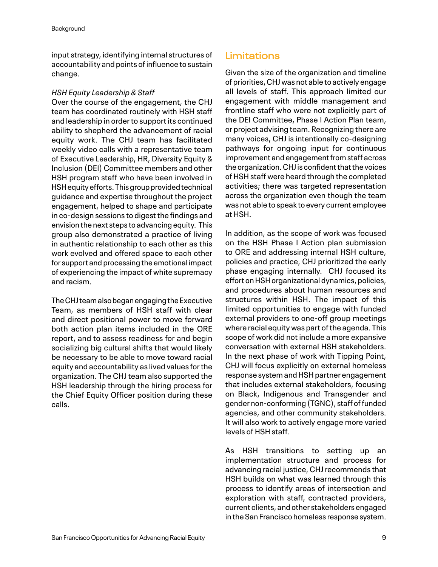input strategy, identifying internal structures of accountability and points of influence to sustain change.

#### *HSH Equity Leadership & Staff*

Over the course of the engagement, the CHJ team has coordinated routinely with HSH staff and leadership in order to support its continued ability to shepherd the advancement of racial equity work. The CHJ team has facilitated weekly video calls with a representative team of Executive Leadership, HR, Diversity Equity & Inclusion (DEI) Committee members and other HSH program staff who have been involved in HSH equity efforts. This group provided technical guidance and expertise throughout the project engagement, helped to shape and participate in co-design sessions to digest the findings and envision the next steps to advancing equity. This group also demonstrated a practice of living in authentic relationship to each other as this work evolved and offered space to each other for support and processing the emotional impact of experiencing the impact of white supremacy and racism.

The CHJ team also began engaging the Executive Team, as members of HSH staff with clear and direct positional power to move forward both action plan items included in the ORE report, and to assess readiness for and begin socializing big cultural shifts that would likely be necessary to be able to move toward racial equity and accountability as lived values for the organization. The CHJ team also supported the HSH leadership through the hiring process for the Chief Equity Officer position during these calls.

## **Limitations**

Given the size of the organization and timeline of priorities, CHJ was not able to actively engage all levels of staff. This approach limited our engagement with middle management and frontline staff who were not explicitly part of the DEI Committee, Phase I Action Plan team, or project advising team. Recognizing there are many voices, CHJ is intentionally co-designing pathways for ongoing input for continuous improvement and engagement from staff across the organization. CHJ is confident that the voices of HSH staff were heard through the completed activities; there was targeted representation across the organization even though the team was not able to speak to every current employee at HSH.

In addition, as the scope of work was focused on the HSH Phase I Action plan submission to ORE and addressing internal HSH culture, policies and practice, CHJ prioritized the early phase engaging internally. CHJ focused its effort on HSH organizational dynamics, policies, and procedures about human resources and structures within HSH. The impact of this limited opportunities to engage with funded external providers to one-off group meetings where racial equity was part of the agenda. This scope of work did not include a more expansive conversation with external HSH stakeholders. In the next phase of work with Tipping Point, CHJ will focus explicitly on external homeless response system and HSH partner engagement that includes external stakeholders, focusing on Black, Indigenous and Transgender and gender non-conforming (TGNC), staff of funded agencies, and other community stakeholders. It will also work to actively engage more varied levels of HSH staff.

As HSH transitions to setting up an implementation structure and process for advancing racial justice, CHJ recommends that HSH builds on what was learned through this process to identify areas of intersection and exploration with staff, contracted providers, current clients, and other stakeholders engaged in the San Francisco homeless response system.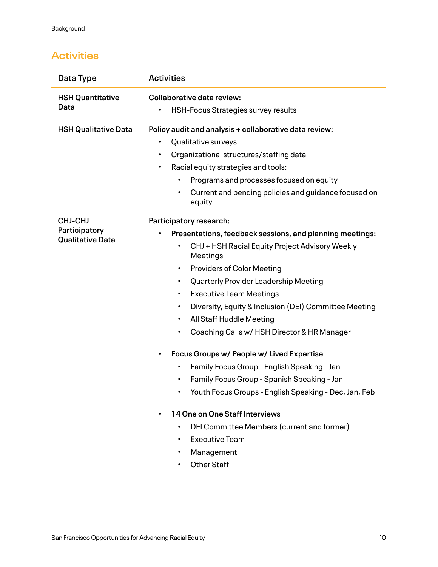## **Activities**

| Data Type                                                  | <b>Activities</b>                                                                                                                                                                                                                                                                                                                                                                                                                                                                                                                                                                                                                                                                                                                                                                                                                     |
|------------------------------------------------------------|---------------------------------------------------------------------------------------------------------------------------------------------------------------------------------------------------------------------------------------------------------------------------------------------------------------------------------------------------------------------------------------------------------------------------------------------------------------------------------------------------------------------------------------------------------------------------------------------------------------------------------------------------------------------------------------------------------------------------------------------------------------------------------------------------------------------------------------|
| <b>HSH Quantitative</b><br>Data                            | <b>Collaborative data review:</b><br>HSH-Focus Strategies survey results<br>$\bullet$                                                                                                                                                                                                                                                                                                                                                                                                                                                                                                                                                                                                                                                                                                                                                 |
| <b>HSH Qualitative Data</b>                                | Policy audit and analysis + collaborative data review:<br>Qualitative surveys<br>٠<br>Organizational structures/staffing data<br>$\bullet$<br>Racial equity strategies and tools:<br>٠<br>Programs and processes focused on equity<br>Current and pending policies and guidance focused on<br>equity                                                                                                                                                                                                                                                                                                                                                                                                                                                                                                                                  |
| <b>CHJ-CHJ</b><br>Participatory<br><b>Qualitative Data</b> | Participatory research:<br>Presentations, feedback sessions, and planning meetings:<br>CHJ + HSH Racial Equity Project Advisory Weekly<br>Meetings<br><b>Providers of Color Meeting</b><br>$\bullet$<br>Quarterly Provider Leadership Meeting<br>$\bullet$<br><b>Executive Team Meetings</b><br>$\bullet$<br>Diversity, Equity & Inclusion (DEI) Committee Meeting<br>$\bullet$<br>All Staff Huddle Meeting<br>$\bullet$<br>Coaching Calls w/ HSH Director & HR Manager<br>Focus Groups w/ People w/ Lived Expertise<br>Family Focus Group - English Speaking - Jan<br>Family Focus Group - Spanish Speaking - Jan<br>Youth Focus Groups - English Speaking - Dec, Jan, Feb<br>14 One on One Staff Interviews<br>$\bullet$<br>DEI Committee Members (current and former)<br><b>Executive Team</b><br>Management<br><b>Other Staff</b> |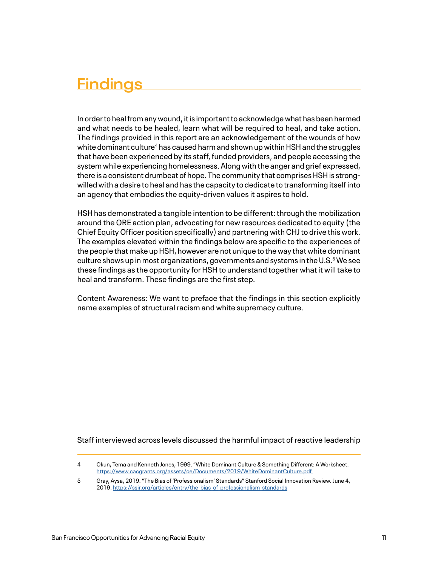In order to heal from any wound, it is important to acknowledge what has been harmed and what needs to be healed, learn what will be required to heal, and take action. The findings provided in this report are an acknowledgement of the wounds of how white dominant culture<sup>4</sup> has caused harm and shown up within HSH and the struggles that have been experienced by its staff, funded providers, and people accessing the system while experiencing homelessness. Along with the anger and grief expressed, there is a consistent drumbeat of hope. The community that comprises HSH is strongwilled with a desire to heal and has the capacity to dedicate to transforming itself into an agency that embodies the equity-driven values it aspires to hold.

HSH has demonstrated a tangible intention to be different: through the mobilization around the ORE action plan, advocating for new resources dedicated to equity (the Chief Equity Officer position specifically) and partnering with CHJ to drive this work. The examples elevated within the findings below are specific to the experiences of the people that make up HSH, however are not unique to the way that white dominant culture shows up in most organizations, governments and systems in the U.S. $^5$  We see these findings as the opportunity for HSH to understand together what it will take to heal and transform. These findings are the first step.

Content Awareness: We want to preface that the findings in this section explicitly name examples of structural racism and white supremacy culture.

Staff interviewed across levels discussed the harmful impact of reactive leadership

<sup>4</sup> Okun, Tema and Kenneth Jones, 1999. "White Dominant Culture & Something Different: A Worksheet. <https://www.cacgrants.org/assets/ce/Documents/2019/WhiteDominantCulture.pdf>

<sup>5</sup> Gray, Aysa, 2019. "The Bias of 'Professionalism' Standards" Stanford Social Innovation Review. June 4, 2019. [https://ssir.org/articles/entry/the\\_bias\\_of\\_professionalism\\_standards](https://ssir.org/articles/entry/the_bias_of_professionalism_standards)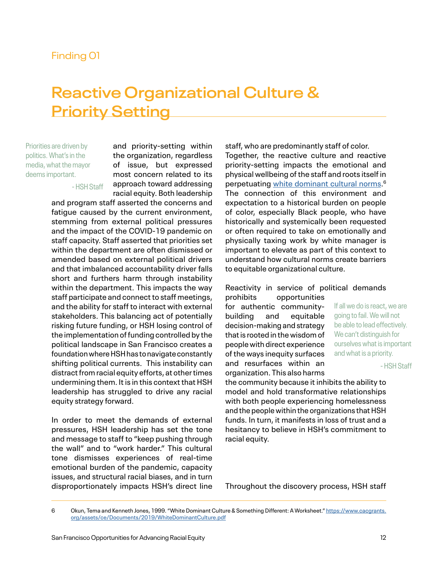## **Reactive Organizational Culture & Priority Setting**

Priorities are driven by politics. What's in the media, what the mayor deems important.

- HSH Staff

and priority-setting within the organization, regardless of issue, but expressed most concern related to its approach toward addressing racial equity. Both leadership

and program staff asserted the concerns and fatigue caused by the current environment, stemming from external political pressures and the impact of the COVID-19 pandemic on staff capacity. Staff asserted that priorities set within the department are often dismissed or amended based on external political drivers and that imbalanced accountability driver falls short and furthers harm through instability within the department. This impacts the way staff participate and connect to staff meetings, and the ability for staff to interact with external stakeholders. This balancing act of potentially risking future funding, or HSH losing control of the implementation of funding controlled by the political landscape in San Francisco creates a foundation where HSH has to navigate constantly shifting political currents. This instability can distract from racial equity efforts, at other times undermining them. It is in this context that HSH leadership has struggled to drive any racial equity strategy forward.

In order to meet the demands of external pressures, HSH leadership has set the tone and message to staff to "keep pushing through the wall" and to "work harder." This cultural tone dismisses experiences of real-time emotional burden of the pandemic, capacity issues, and structural racial biases, and in turn disproportionately impacts HSH's direct line

staff, who are predominantly staff of color. Together, the reactive culture and reactive priority-setting impacts the emotional and physical wellbeing of the staff and roots itself in perpetuating [white dominant cultural norms](https://www.cacgrants.org/assets/ce/Documents/2019/WhiteDominantCulture.pdf). 6 The connection of this environment and expectation to a historical burden on people of color, especially Black people, who have historically and systemically been requested or often required to take on emotionally and physically taxing work by white manager is important to elevate as part of this context to understand how cultural norms create barriers to equitable organizational culture.

#### Reactivity in service of political demands

prohibits opportunities for authentic communitybuilding and equitable decision-making and strategy that is rooted in the wisdom of people with direct experience of the ways inequity surfaces and resurfaces within an organization. This also harms

If all we do is react, we are going to fail. We will not be able to lead effectively. We can't distinguish for ourselves what is important and what is a priority.

- HSH Staff

the community because it inhibits the ability to model and hold transformative relationships with both people experiencing homelessness and the people within the organizations that HSH funds. In turn, it manifests in loss of trust and a hesitancy to believe in HSH's commitment to racial equity.

Throughout the discovery process, HSH staff

<sup>6</sup> Okun, Tema and Kenneth Jones, 1999. "White Dominant Culture & Something Different: A Worksheet." [https://www.cacgrants.](https://www.cacgrants.org/assets/ce/Documents/2019/WhiteDominantCulture.pdf) [org/assets/ce/Documents/2019/WhiteDominantCulture.pdf](https://www.cacgrants.org/assets/ce/Documents/2019/WhiteDominantCulture.pdf)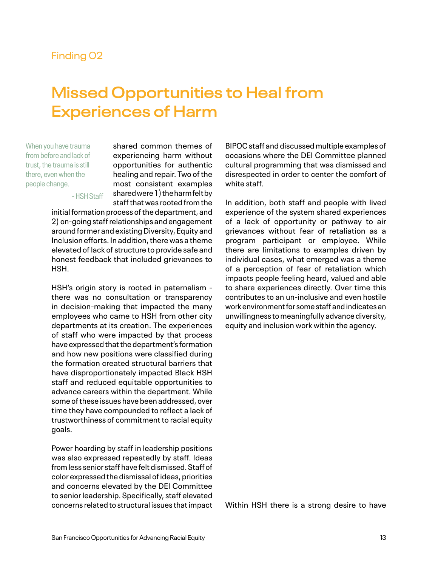## **Missed Opportunities to Heal from Experiences of Harm**

When you have trauma from before and lack of trust, the trauma is still there, even when the people change.

- HSH Staff

shared common themes of experiencing harm without opportunities for authentic healing and repair. Two of the most consistent examples shared were 1) the harm felt by staff that was rooted from the

initial formation process of the department, and 2) on-going staff relationships and engagement around former and existing Diversity, Equity and Inclusion efforts. In addition, there was a theme elevated of lack of structure to provide safe and honest feedback that included grievances to HSH.

HSH's origin story is rooted in paternalism there was no consultation or transparency in decision-making that impacted the many employees who came to HSH from other city departments at its creation. The experiences of staff who were impacted by that process have expressed that the department's formation and how new positions were classified during the formation created structural barriers that have disproportionately impacted Black HSH staff and reduced equitable opportunities to advance careers within the department. While some of these issues have been addressed, over time they have compounded to reflect a lack of trustworthiness of commitment to racial equity goals.

Power hoarding by staff in leadership positions was also expressed repeatedly by staff. Ideas from less senior staff have felt dismissed. Staff of color expressed the dismissal of ideas, priorities and concerns elevated by the DEI Committee to senior leadership. Specifically, staff elevated concerns related to structural issues that impact

BIPOC staff and discussed multiple examples of occasions where the DEI Committee planned cultural programming that was dismissed and disrespected in order to center the comfort of white staff.

In addition, both staff and people with lived experience of the system shared experiences of a lack of opportunity or pathway to air grievances without fear of retaliation as a program participant or employee. While there are limitations to examples driven by individual cases, what emerged was a theme of a perception of fear of retaliation which impacts people feeling heard, valued and able to share experiences directly. Over time this contributes to an un-inclusive and even hostile work environment for some staff and indicates an unwillingness to meaningfully advance diversity, equity and inclusion work within the agency.

Within HSH there is a strong desire to have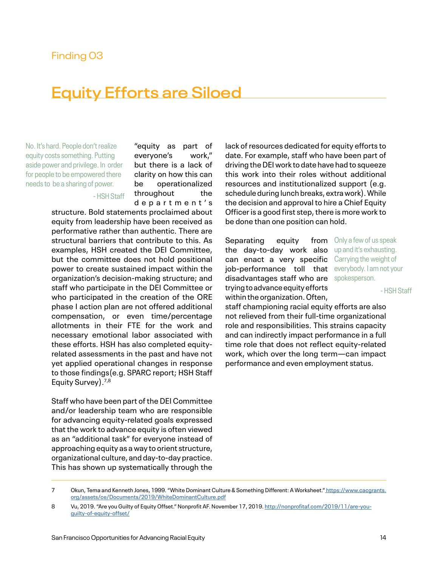## **Equity Efforts are Siloed**

No. It's hard. People don't realize equity costs something. Putting aside power and privilege. In order for people to be empowered there needs to be a sharing of power.

- HSH Staff

everyone's work," but there is a lack of clarity on how this can be operationalized throughout the d e p a r t m e n t ' s

"equity as part of

structure. Bold statements proclaimed about equity from leadership have been received as performative rather than authentic. There are structural barriers that contribute to this. As examples, HSH created the DEI Committee, but the committee does not hold positional power to create sustained impact within the organization's decision-making structure; and staff who participate in the DEI Committee or who participated in the creation of the ORE phase I action plan are not offered additional compensation, or even time/percentage allotments in their FTE for the work and necessary emotional labor associated with these efforts. HSH has also completed equityrelated assessments in the past and have not yet applied operational changes in response to those findings(e.g. SPARC report; HSH Staff Equity Survey).7,8

Staff who have been part of the DEI Committee and/or leadership team who are responsible for advancing equity-related goals expressed that the work to advance equity is often viewed as an "additional task" for everyone instead of approaching equity as a way to orient structure, organizational culture, and day-to-day practice. This has shown up systematically through the lack of resources dedicated for equity efforts to date. For example, staff who have been part of driving the DEI work to date have had to squeeze this work into their roles without additional resources and institutionalized support (e.g. schedule during lunch breaks, extra work). While the decision and approval to hire a Chief Equity Officer is a good first step, there is more work to be done than one position can hold.

Separating equity the day-to-day work also up and it's exhausting. can enact a very specific Carrying the weight of job-performance toll that everybody. I am not your disadvantages staff who are spokesperson. trying to advance equity efforts within the organization. Often,

from Only a few of us speak

- HSH Staff

staff championing racial equity efforts are also not relieved from their full-time organizational role and responsibilities. This strains capacity and can indirectly impact performance in a full time role that does not reflect equity-related work, which over the long term—can impact performance and even employment status.

<sup>7</sup> Okun, Tema and Kenneth Jones, 1999. "White Dominant Culture & Something Different: A Worksheet." [https://www.cacgrants.](https://www.cacgrants.org/assets/ce/Documents/2019/WhiteDominantCulture.pdf) [org/assets/ce/Documents/2019/WhiteDominantCulture.pdf](https://www.cacgrants.org/assets/ce/Documents/2019/WhiteDominantCulture.pdf)

<sup>8</sup> Vu, 2019. "Are you Guilty of Equity Offset." Nonprofit AF. November 17, 2019. [http://nonprofitaf.com/2019/11/are-you](http://nonprofitaf.com/2019/11/are-you-guilty-of-equity-offset/)[guilty-of-equity-offset/](http://nonprofitaf.com/2019/11/are-you-guilty-of-equity-offset/)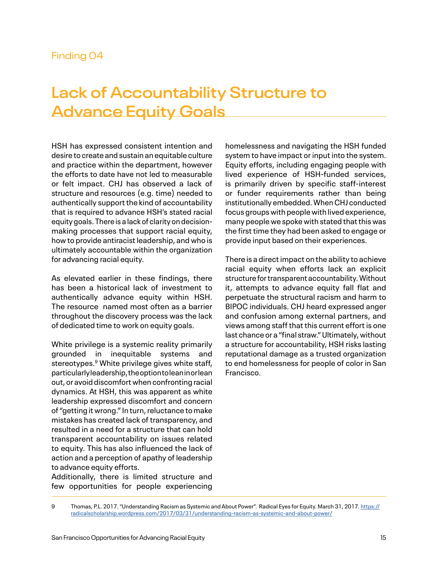## **Lack of Accountability Structure to Advance Equity Goals**

HSH has expressed consistent intention and desire to create and sustain an equitable culture and practice within the department, however the efforts to date have not led to measurable or felt impact. CHJ has observed a lack of structure and resources (e.g. time) needed to authentically support the kind of accountability that is required to advance HSH's stated racial equity goals. There is a lack of clarity on decisionmaking processes that support racial equity, how to provide antiracist leadership, and who is ultimately accountable within the organization for advancing racial equity.

As elevated earlier in these findings, there has been a historical lack of investment to authentically advance equity within HSH. The resource named most often as a barrier throughout the discovery process was the lack of dedicated time to work on equity goals.

White privilege is a systemic reality primarily grounded in inequitable systems and stereotypes.<sup>9</sup> White privilege gives white staff, particularly leadership, the option to lean in or lean out, or avoid discomfort when confronting racial dynamics. At HSH, this was apparent as white leadership expressed discomfort and concern of "getting it wrong." In turn, reluctance to make mistakes has created lack of transparency, and resulted in a need for a structure that can hold transparent accountability on issues related to equity. This has also influenced the lack of action and a perception of apathy of leadership to advance equity efforts.

Additionally, there is limited structure and few opportunities for people experiencing

homelessness and navigating the HSH funded system to have impact or input into the system. Equity efforts, including engaging people with lived experience of HSH-funded services, is primarily driven by specific staff-interest or funder requirements rather than being institutionally embedded. When CHJ conducted focus groups with people with lived experience, many people we spoke with stated that this was the first time they had been asked to engage or provide input based on their experiences.

There is a direct impact on the ability to achieve racial equity when efforts lack an explicit structure for transparent accountability. Without it, attempts to advance equity fall flat and perpetuate the structural racism and harm to BIPOC individuals. CHJ heard expressed anger and confusion among external partners, and views among staff that this current effort is one last chance or a "final straw." Ultimately, without a structure for accountability, HSH risks lasting reputational damage as a trusted organization to end homelessness for people of color in San Francisco.

<sup>9</sup> Thomas, P.L. 2017. "Understanding Racism as Systemic and About Power". Radical Eyes for Equity. March 31, 2017. [https://](https://radicalscholarship.wordpress.com/2017/03/31/understanding-racism-as-systemic-and-about-power) [radicalscholarship.wordpress.com/2017/03/31/understanding-racism-as-systemic-and-about-power/](https://radicalscholarship.wordpress.com/2017/03/31/understanding-racism-as-systemic-and-about-power)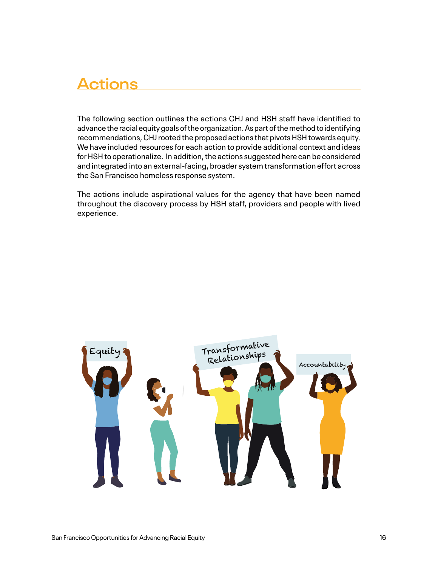## **Actions**

The following section outlines the actions CHJ and HSH staff have identified to advance the racial equity goals of the organization. As part of the method to identifying recommendations, CHJ rooted the proposed actions that pivots HSH towards equity. We have included resources for each action to provide additional context and ideas for HSH to operationalize. In addition, the actions suggested here can be considered and integrated into an external-facing, broader system transformation effort across the San Francisco homeless response system.

The actions include aspirational values for the agency that have been named throughout the discovery process by HSH staff, providers and people with lived experience.

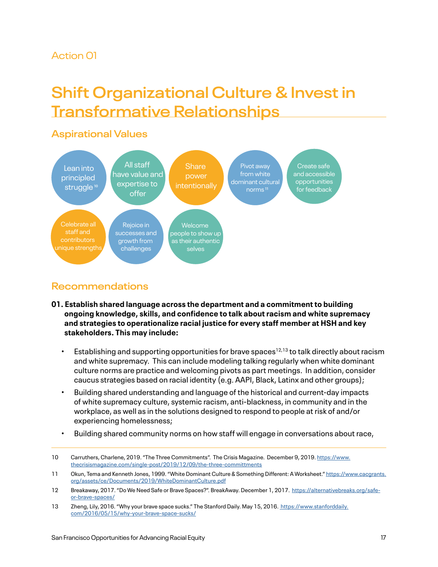## Action 01

## **Shift Organizational Culture & Invest in Transformative Relationships**

## **Aspirational Values**



## **10 11 Recommendations**

- **01. Establish shared language across the department and a commitment to building ongoing knowledge, skills, and confidence to talk about racism and white supremacy and strategies to operationalize racial justice for every staff member at HSH and key stakeholders. This may include:**
	- Establishing and supporting opportunities for brave spaces<sup>12,13</sup> to talk directly about racism and white supremacy. This can include modeling talking regularly when white dominant culture norms are practice and welcoming pivots as part meetings. In addition, consider caucus strategies based on racial identity (e.g. AAPI, Black, Latinx and other groups);
	- Building shared understanding and language of the historical and current-day impacts of white supremacy culture, systemic racism, anti-blackness, in community and in the workplace, as well as in the solutions designed to respond to people at risk of and/or experiencing homelessness;
	- Building shared community norms on how staff will engage in conversations about race,

<sup>10</sup> Carruthers, Charlene, 2019. "The Three Commitments". The Crisis Magazine. December 9, 2019. [https://www.](https://www.thecrisismagazine.com/single-post/2019/12/09/the-three-committments) [thecrisismagazine.com/single-post/2019/12/09/the-three-committments](https://www.thecrisismagazine.com/single-post/2019/12/09/the-three-committments)

<sup>11</sup> Okun, Tema and Kenneth Jones, 1999. "White Dominant Culture & Something Different: A Worksheet." [https://www.cacgrants.](https://www.cacgrants.org/assets/ce/Documents/2019/WhiteDominantCulture.pdf) [org/assets/ce/Documents/2019/WhiteDominantCulture.pdf](https://www.cacgrants.org/assets/ce/Documents/2019/WhiteDominantCulture.pdf)

<sup>12</sup> Breakaway, 2017. "Do We Need Safe or Brave Spaces?". BreakAway. December 1, 2017. [https://alternativebreaks.org/safe](https://alternativebreaks.org/safe-or-brave-spaces/)[or-brave-spaces/](https://alternativebreaks.org/safe-or-brave-spaces/)

<sup>13</sup> Zheng, Lily, 2016. "Why your brave space sucks." The Stanford Daily. May 15, 2016. [https://www.stanforddaily.](https://www.stanforddaily.com/2016/05/15/why-your-brave-space-sucks/) [com/2016/05/15/why-your-brave-space-sucks/](https://www.stanforddaily.com/2016/05/15/why-your-brave-space-sucks/)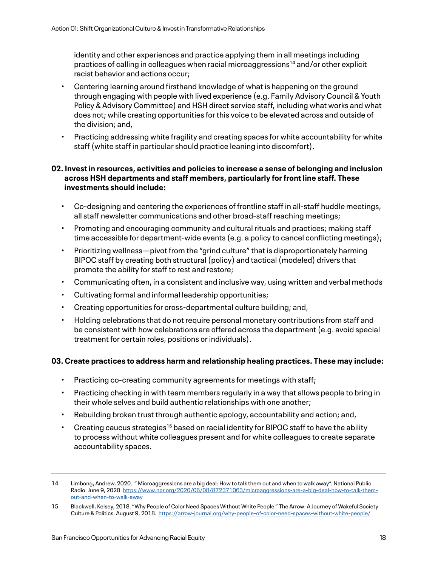identity and other experiences and practice applying them in all meetings including practices of calling in colleagues when racial microaggressions<sup>14</sup> and/or other explicit racist behavior and actions occur;

- Centering learning around firsthand knowledge of what is happening on the ground through engaging with people with lived experience (e.g. Family Advisory Council & Youth Policy & Advisory Committee) and HSH direct service staff, including what works and what does not; while creating opportunities for this voice to be elevated across and outside of the division; and,
- Practicing addressing white fragility and creating spaces for white accountability for white staff (white staff in particular should practice leaning into discomfort).

### **02. Invest in resources, activities and policies to increase a sense of belonging and inclusion across HSH departments and staff members, particularly for front line staff. These investments should include:**

- Co-designing and centering the experiences of frontline staff in all-staff huddle meetings, all staff newsletter communications and other broad-staff reaching meetings;
- Promoting and encouraging community and cultural rituals and practices; making staff time accessible for department-wide events (e.g. a policy to cancel conflicting meetings);
- Prioritizing wellness—pivot from the "grind culture" that is disproportionately harming BIPOC staff by creating both structural (policy) and tactical (modeled) drivers that promote the ability for staff to rest and restore;
- Communicating often, in a consistent and inclusive way, using written and verbal methods
- Cultivating formal and informal leadership opportunities;
- Creating opportunities for cross-departmental culture building; and,
- Holding celebrations that do not require personal monetary contributions from staff and be consistent with how celebrations are offered across the department (e.g. avoid special treatment for certain roles, positions or individuals).

#### **03. Create practices to address harm and relationship healing practices. These may include:**

- Practicing co-creating community agreements for meetings with staff;
- Practicing checking in with team members regularly in a way that allows people to bring in their whole selves and build authentic relationships with one another;
- Rebuilding broken trust through authentic apology, accountability and action; and,
- Creating caucus strategies<sup>15</sup> based on racial identity for BIPOC staff to have the ability to process without white colleagues present and for white colleagues to create separate accountability spaces.

<sup>14</sup> Limbong, Andrew, 2020. " Microaggressions are a big deal: How to talk them out and when to walk away". National Public Radio. June 9, 2020. [https://www.npr.org/2020/06/08/872371063/microaggressions-are-a-big-deal-how-to-talk-them](https://www.npr.org/2020/06/08/872371063/microaggressions-are-a-big-deal-how-to-talk-them-out-and-wh)[out-and-when-to-walk-away](https://www.npr.org/2020/06/08/872371063/microaggressions-are-a-big-deal-how-to-talk-them-out-and-wh)

<sup>15</sup> Blackwell, Kelsey, 2018. "Why People of Color Need Spaces Without White People." The Arrow: A Journey of Wakeful Society Culture & Politics. August 9, 2018. <https://arrow-journal.org/why-people-of-color-need-spaces-without-white-people/>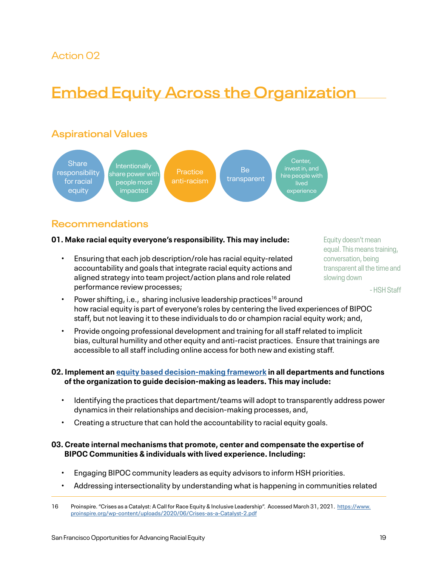## Action 02

## **Embed Equity Across the Organization**

## **Aspirational Values**



## **Recommendations**

#### **01. Make racial equity everyone's responsibility. This may include:**

• Ensuring that each job description/role has racial equity-related accountability and goals that integrate racial equity actions and aligned strategy into team project/action plans and role related performance review processes;

Equity doesn't mean equal. This means training, conversation, being transparent all the time and slowing down

- HSH Staff

- Power shifting, i.e., sharing inclusive leadership practices<sup>16</sup> around how racial equity is part of everyone's roles by centering the lived experiences of BIPOC staff, but not leaving it to these individuals to do or champion racial equity work; and,
- Provide ongoing professional development and training for all staff related to implicit bias, cultural humility and other equity and anti-racist practices. Ensure that trainings are accessible to all staff including online access for both new and existing staff.

### **02. Implement an [equity based decision-making framework](https://www.nis.us/equity-based-decision-making-framework) in all departments and functions of the organization to guide decision-making as leaders. This may include:**

- Identifying the practices that department/teams will adopt to transparently address power dynamics in their relationships and decision-making processes, and,
- Creating a structure that can hold the accountability to racial equity goals.

### **03. Create internal mechanisms that promote, center and compensate the expertise of BIPOC Communities & individuals with lived experience. Including:**

- Engaging BIPOC community leaders as equity advisors to inform HSH priorities.
- Addressing intersectionality by understanding what is happening in communities related

<sup>16</sup> Proinspire. "Crises as a Catalyst: A Call for Race Equity & Inclusive Leadership". Accessed March 31, 2021. [https://www.](https://www.proinspire.org/wp-content/uploads/2020/06/Crises-as-a-Catalyst-2.pdf) [proinspire.org/wp-content/uploads/2020/06/Crises-as-a-Catalyst-2.pdf](https://www.proinspire.org/wp-content/uploads/2020/06/Crises-as-a-Catalyst-2.pdf)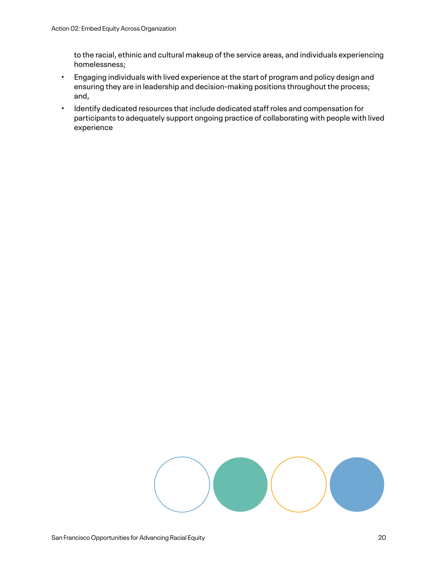to the racial, ethinic and cultural makeup of the service areas, and individuals experiencing homelessness;

- Engaging individuals with lived experience at the start of program and policy design and ensuring they are in leadership and decision-making positions throughout the process; and,
- Identify dedicated resources that include dedicated staff roles and compensation for participants to adequately support ongoing practice of collaborating with people with lived experience

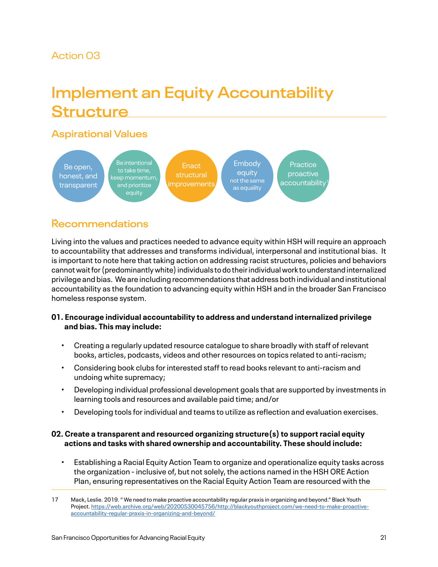## Action 03

## **Implement an Equity Accountability Structure**

## **Aspirational Values**



## 17 **Recommendations**

Living into the values and practices needed to advance equity within HSH will require an approach to accountability that addresses and transforms individual, interpersonal and institutional bias. It is important to note here that taking action on addressing racist structures, policies and behaviors cannot wait for (predominantly white) individuals to do their individual work to understand internalized privilege and bias. We are including recommendations that address both individual and institutional accountability as the foundation to advancing equity within HSH and in the broader San Francisco homeless response system.

- **01. Encourage individual accountability to address and understand internalized privilege and bias. This may include:** 
	- Creating a regularly updated resource catalogue to share broadly with staff of relevant books, articles, podcasts, videos and other resources on topics related to anti-racism;
	- Considering book clubs for interested staff to read books relevant to anti-racism and undoing white supremacy;
	- Developing individual professional development goals that are supported by investments in learning tools and resources and available paid time; and/or
	- Developing tools for individual and teams to utilize as reflection and evaluation exercises.

### **02. Create a transparent and resourced organizing structure(s) to support racial equity actions and tasks with shared ownership and accountability. These should include:**

• Establishing a Racial Equity Action Team to organize and operationalize equity tasks across the organization - inclusive of, but not solely, the actions named in the HSH ORE Action Plan, ensuring representatives on the Racial Equity Action Team are resourced with the

<sup>17</sup> Mack, Leslie. 2019. " We need to make proactive accountability regular praxis in organizing and beyond." Black Youth Project. [https://web.archive.org/web/20200530045756/http://blackyouthproject.com/we-need-to-make-proactive](https://web.archive.org/web/20200530045756/http://blackyouthproject.com/we-need-to-make-proactive-accountability-regular-praxis-in-organizing-and-beyond/)[accountability-regular-praxis-in-organizing-and-beyond/](https://web.archive.org/web/20200530045756/http://blackyouthproject.com/we-need-to-make-proactive-accountability-regular-praxis-in-organizing-and-beyond/)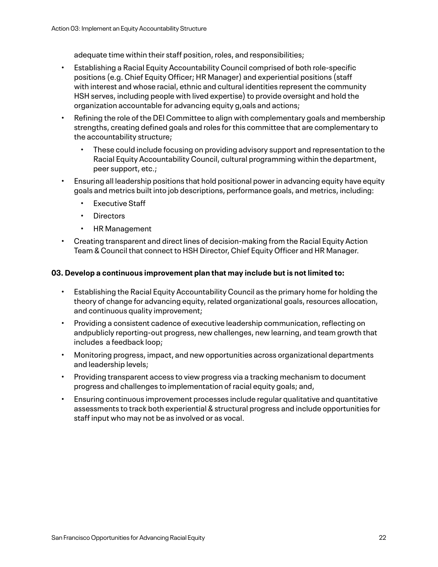adequate time within their staff position, roles, and responsibilities;

- Establishing a Racial Equity Accountability Council comprised of both role-specific positions (e.g. Chief Equity Officer; HR Manager) and experiential positions (staff with interest and whose racial, ethnic and cultural identities represent the community HSH serves, including people with lived expertise) to provide oversight and hold the organization accountable for advancing equity g,oals and actions;
- Refining the role of the DEI Committee to align with complementary goals and membership strengths, creating defined goals and roles for this committee that are complementary to the accountability structure;
	- These could include focusing on providing advisory support and representation to the Racial Equity Accountability Council, cultural programming within the department, peer support, etc.;
- Ensuring all leadership positions that hold positional power in advancing equity have equity goals and metrics built into job descriptions, performance goals, and metrics, including:
	- **Executive Staff**
	- Directors
	- HR Management
- Creating transparent and direct lines of decision-making from the Racial Equity Action Team & Council that connect to HSH Director, Chief Equity Officer and HR Manager.

#### **03. Develop a continuous improvement plan that may include but is not limited to:**

- Establishing the Racial Equity Accountability Council as the primary home for holding the theory of change for advancing equity, related organizational goals, resources allocation, and continuous quality improvement;
- Providing a consistent cadence of executive leadership communication, reflecting on andpublicly reporting-out progress, new challenges, new learning, and team growth that includes a feedback loop;
- Monitoring progress, impact, and new opportunities across organizational departments and leadership levels;
- Providing transparent access to view progress via a tracking mechanism to document progress and challenges to implementation of racial equity goals; and,
- Ensuring continuous improvement processes include regular qualitative and quantitative assessments to track both experiential & structural progress and include opportunities for staff input who may not be as involved or as vocal.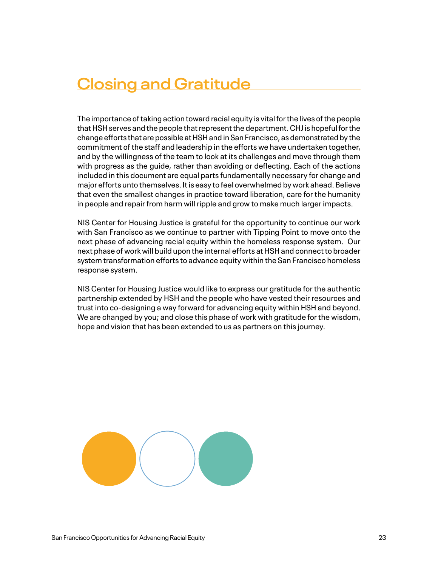## **Closing and Gratitude**

The importance of taking action toward racial equity is vital for the lives of the people that HSH serves and the people that represent the department. CHJ is hopeful for the change efforts that are possible at HSH and in San Francisco, as demonstrated by the commitment of the staff and leadership in the efforts we have undertaken together, and by the willingness of the team to look at its challenges and move through them with progress as the guide, rather than avoiding or deflecting. Each of the actions included in this document are equal parts fundamentally necessary for change and major efforts unto themselves. It is easy to feel overwhelmed by work ahead. Believe that even the smallest changes in practice toward liberation, care for the humanity in people and repair from harm will ripple and grow to make much larger impacts.

NIS Center for Housing Justice is grateful for the opportunity to continue our work with San Francisco as we continue to partner with Tipping Point to move onto the next phase of advancing racial equity within the homeless response system. Our next phase of work will build upon the internal efforts at HSH and connect to broader system transformation efforts to advance equity within the San Francisco homeless response system.

NIS Center for Housing Justice would like to express our gratitude for the authentic partnership extended by HSH and the people who have vested their resources and trust into co-designing a way forward for advancing equity within HSH and beyond. We are changed by you; and close this phase of work with gratitude for the wisdom, hope and vision that has been extended to us as partners on this journey.

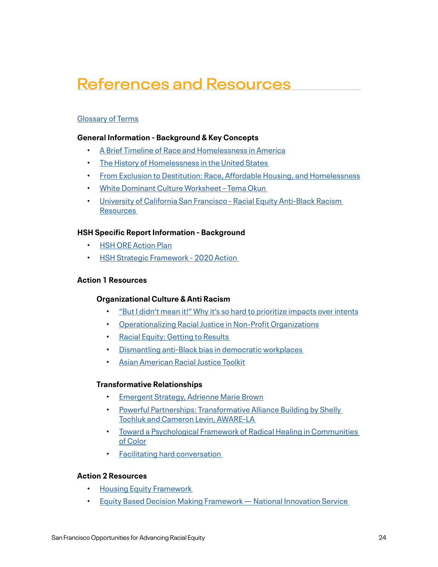## **References and Resources**

### [Glossary of Terms](https://nissanfran.wpengine.com/wp-content/uploads/March-2021-Racial-Equity-Glossary-of-Terms.pdf)

#### **General Information - Background & Key Concepts**

- [A Brief Timeline of Race and Homelessness in America](https://community.solutions/wp-content/uploads/2020/06/A-Brief-Timeline-of-Race-and-Homelessness-in-America-March-2019.pdf)
- [The History of Homelessness in the United States](https://www.ncbi.nlm.nih.gov/books/NBK519584/)
- [From Exclusion to Destitution: Race, Affordable Housing, and Homelessness](http://www.thecyberhood.net/documents/papers/cityscape.pdf)
- [White Dominant Culture Worksheet Tema Okun](https://www.cacgrants.org/assets/ce/Documents/2019/WhiteDominantCulture.pdf)
- [University of California San Francisco Racial Equity Anti-Black Racism](https://mrc.ucsf.edu/racial-equity-anti-black-racism)  **Resources**

### **HSH Specific Report Information - Background**

- [HSH ORE Action Plan](https://hsh.sfgov.org/wp-content/uploads/2020/10/2020-Implementation-Plan-During-COVID-19_FINAL.pdf)
- **HSH Strategic Framework 2020 Action**

#### **Action 1 Resources**

#### **Organizational Culture & Anti Racism**

- ["But I didn't mean it!" Why it's so hard to prioritize impacts over intents](https://blogs.scientificamerican.com/psysociety/e2809cbut-i-didne28099t-mean-ite2809d-why-ite28099s-so-hard-to-prioritize-impacts-over-intents/)
- [Operationalizing Racial Justice in Non-Profit Organizations](http://www.mpassociates.us/uploads/3/7/1/0/37103967/operationalizing_racial_justice_-_np_edition._mpassociates._final_draft_aug_20.pdf)
- [Racial Equity: Getting to Results](https://www.racialequityalliance.org/wp-content/uploads/2017/09/GARE_GettingtoEquity_July2017_PUBLISH.pdf)
- [Dismantling anti-Black bias in democratic workplaces](https://static1.squarespace.com/static/5e9ddc272ee6fa03a5f1ccbe/t/60624e88fc4584071e5925a2/1617055369649/anti-blackness-toolkit.pdf)
- [Asian American Racial Justice Toolkit](https://www.apalanet.org/uploads/8/3/2/0/83203568/asian_american_racial_justice_toolkit.pdf)

#### **Transformative Relationships**

- [Emergent Strategy, Adrienne Marie Brown](https://www.akpress.org/emergentstrategy.html)
- [Powerful Partnerships: Transformative Alliance Building by Shelly](https://static1.squarespace.com/static/581e9e06ff7c509a5ca2fe32/t/588d5094197aeae36a5fbd5b/1485656213150/Powerful+Partnerships+-+Transformative+Alliance+Building.pdf)  [Tochluk and Cameron Levin, AWARE-LA](https://static1.squarespace.com/static/581e9e06ff7c509a5ca2fe32/t/588d5094197aeae36a5fbd5b/1485656213150/Powerful+Partnerships+-+Transformative+Alliance+Building.pdf)
- [Toward a Psychological Framework of Radical Healing in Communities](https://journals.sagepub.com/doi/pdf/10.1177/0011000019843506)  [of Color](https://journals.sagepub.com/doi/pdf/10.1177/0011000019843506)
- [Facilitating hard conversation](https://organizingengagement.org/principles/facilitation/ )

#### **Action 2 Resources**

- [Housing Equity Framework](https://housingequityframework.org/resources)
- [Equity Based Decision Making Framework National Innovation Service](https://www.nis.us/equity-based-decision-making-framework)